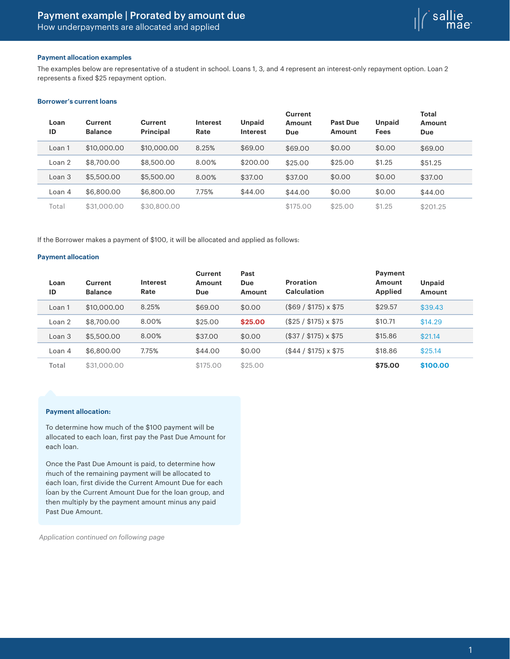### **Payment allocation examples**

The examples below are representative of a student in school. Loans 1, 3, and 4 represent an interest-only repayment option. Loan 2 represents a fixed \$25 repayment option.

# **Borrower's current loans**

| Loan<br>ID | <b>Current</b><br><b>Balance</b> | <b>Current</b><br>Principal | <b>Interest</b><br>Rate | <b>Unpaid</b><br><b>Interest</b> | Current<br>Amount<br><b>Due</b> | <b>Past Due</b><br><b>Amount</b> | <b>Unpaid</b><br><b>Fees</b> | Total<br>Amount<br>Due |  |
|------------|----------------------------------|-----------------------------|-------------------------|----------------------------------|---------------------------------|----------------------------------|------------------------------|------------------------|--|
| Loan 1     | \$10,000,00                      | \$10,000.00                 | 8.25%                   | \$69.00                          | \$69.00                         | \$0.00                           | \$0.00                       | \$69.00                |  |
| Loan 2     | \$8,700.00                       | \$8,500.00                  | 8.00%                   | \$200.00                         | \$25.00                         | \$25.00                          | \$1.25                       | \$51.25                |  |
| Loan 3     | \$5,500.00                       | \$5,500,00                  | 8.00%                   | \$37.00                          | \$37.00                         | \$0.00                           | \$0.00                       | \$37.00                |  |
| Loan 4     | \$6,800,00                       | \$6,800.00                  | 7.75%                   | \$44.00                          | \$44.00                         | \$0.00                           | \$0.00                       | \$44.00                |  |
| Total      | \$31,000,00                      | \$30,800,00                 |                         |                                  | \$175.00                        | \$25.00                          | \$1.25                       | \$201.25               |  |

If the Borrower makes a payment of \$100, it will be allocated and applied as follows:

## **Payment allocation**

| Loan<br>ID | Current<br><b>Balance</b> | <b>Interest</b><br>Rate | <b>Current</b><br>Amount<br><b>Due</b> | Past<br>Due<br>Amount | Proration<br><b>Calculation</b> | Payment<br>Amount<br><b>Applied</b> | <b>Unpaid</b><br>Amount |
|------------|---------------------------|-------------------------|----------------------------------------|-----------------------|---------------------------------|-------------------------------------|-------------------------|
| Loan 1     | \$10,000,00               | 8.25%                   | \$69.00                                | \$0.00                | $($69 / $175) \times $75$       | \$29.57                             | \$39.43                 |
| Loan 2     | \$8,700.00                | 8.00%                   | \$25.00                                | \$25.00               | $($25 / $175) \times $75$       | \$10.71                             | \$14.29                 |
| Loan 3     | \$5,500,00                | 8.00%                   | \$37.00                                | \$0.00                | $($37 / $175) \times $75$       | \$15.86                             | \$21.14                 |
| Loan 4     | \$6,800,00                | 7.75%                   | \$44.00                                | \$0.00                | $($44 / $175) \times $75$       | \$18.86                             | \$25.14                 |
| Total      | \$31,000,00               |                         | \$175.00                               | \$25.00               |                                 | \$75.00                             | \$100.00                |

#### **Payment allocation:**

To determine how much of the \$100 payment will be allocated to each loan, first pay the Past Due Amount for each loan.

Once the Past Due Amount is paid, to determine how much of the remaining payment will be allocated to each loan, first divide the Current Amount Due for each loan by the Current Amount Due for the loan group, and then multiply by the payment amount minus any paid Past Due Amount.

*Application continued on following page*